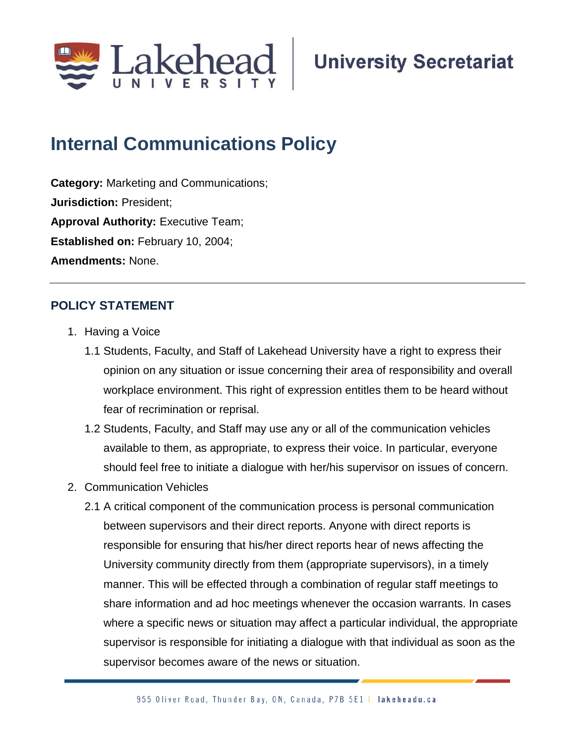

## **Internal Communications Policy**

**Category:** Marketing and Communications; **Jurisdiction:** President; **Approval Authority: Executive Team; Established on:** February 10, 2004; **Amendments:** None.

### **POLICY STATEMENT**

- 1. Having a Voice
	- 1.1 Students, Faculty, and Staff of Lakehead University have a right to express their opinion on any situation or issue concerning their area of responsibility and overall workplace environment. This right of expression entitles them to be heard without fear of recrimination or reprisal.
	- 1.2 Students, Faculty, and Staff may use any or all of the communication vehicles available to them, as appropriate, to express their voice. In particular, everyone should feel free to initiate a dialogue with her/his supervisor on issues of concern.
- 2. Communication Vehicles
	- 2.1 A critical component of the communication process is personal communication between supervisors and their direct reports. Anyone with direct reports is responsible for ensuring that his/her direct reports hear of news affecting the University community directly from them (appropriate supervisors), in a timely manner. This will be effected through a combination of regular staff meetings to share information and ad hoc meetings whenever the occasion warrants. In cases where a specific news or situation may affect a particular individual, the appropriate supervisor is responsible for initiating a dialogue with that individual as soon as the supervisor becomes aware of the news or situation.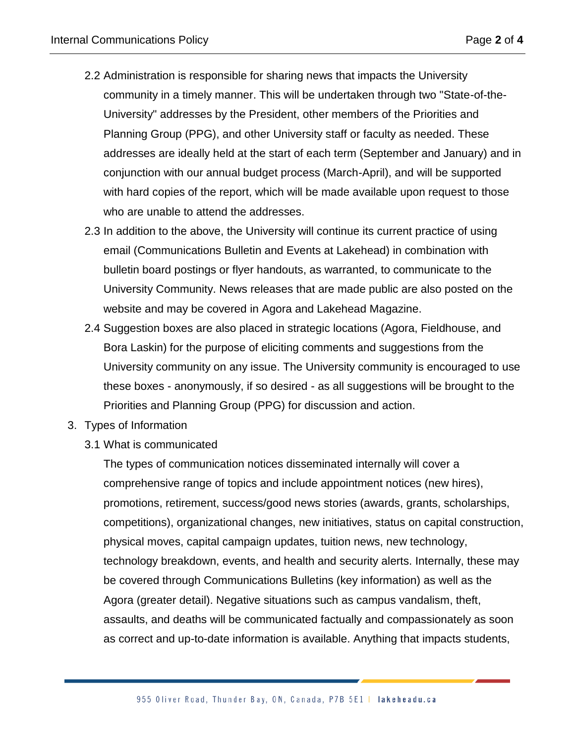- 2.2 Administration is responsible for sharing news that impacts the University community in a timely manner. This will be undertaken through two "State-of-the-University" addresses by the President, other members of the Priorities and Planning Group (PPG), and other University staff or faculty as needed. These addresses are ideally held at the start of each term (September and January) and in conjunction with our annual budget process (March-April), and will be supported with hard copies of the report, which will be made available upon request to those who are unable to attend the addresses.
- 2.3 In addition to the above, the University will continue its current practice of using email (Communications Bulletin and Events at Lakehead) in combination with bulletin board postings or flyer handouts, as warranted, to communicate to the University Community. News releases that are made public are also posted on the website and may be covered in Agora and Lakehead Magazine.
- 2.4 Suggestion boxes are also placed in strategic locations (Agora, Fieldhouse, and Bora Laskin) for the purpose of eliciting comments and suggestions from the University community on any issue. The University community is encouraged to use these boxes - anonymously, if so desired - as all suggestions will be brought to the Priorities and Planning Group (PPG) for discussion and action.
- 3. Types of Information
	- 3.1 What is communicated

The types of communication notices disseminated internally will cover a comprehensive range of topics and include appointment notices (new hires), promotions, retirement, success/good news stories (awards, grants, scholarships, competitions), organizational changes, new initiatives, status on capital construction, physical moves, capital campaign updates, tuition news, new technology, technology breakdown, events, and health and security alerts. Internally, these may be covered through Communications Bulletins (key information) as well as the Agora (greater detail). Negative situations such as campus vandalism, theft, assaults, and deaths will be communicated factually and compassionately as soon as correct and up-to-date information is available. Anything that impacts students,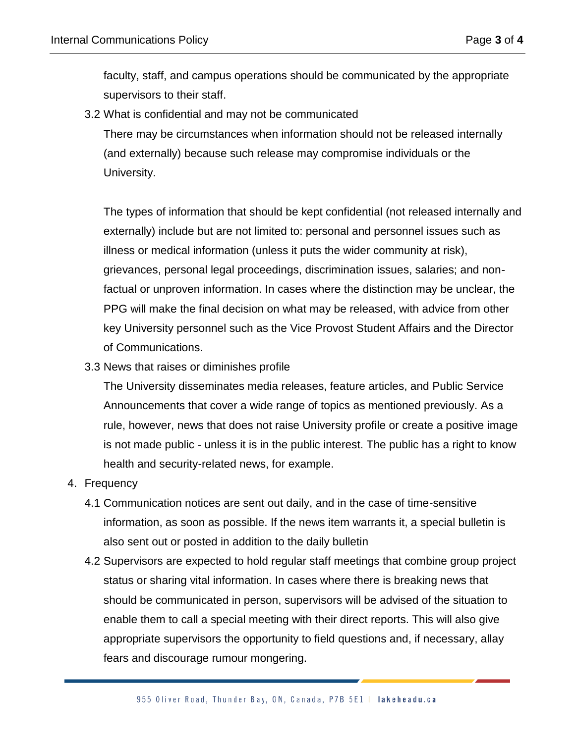faculty, staff, and campus operations should be communicated by the appropriate supervisors to their staff.

3.2 What is confidential and may not be communicated

There may be circumstances when information should not be released internally (and externally) because such release may compromise individuals or the University.

The types of information that should be kept confidential (not released internally and externally) include but are not limited to: personal and personnel issues such as illness or medical information (unless it puts the wider community at risk), grievances, personal legal proceedings, discrimination issues, salaries; and nonfactual or unproven information. In cases where the distinction may be unclear, the PPG will make the final decision on what may be released, with advice from other key University personnel such as the Vice Provost Student Affairs and the Director of Communications.

3.3 News that raises or diminishes profile

The University disseminates media releases, feature articles, and Public Service Announcements that cover a wide range of topics as mentioned previously. As a rule, however, news that does not raise University profile or create a positive image is not made public - unless it is in the public interest. The public has a right to know health and security-related news, for example.

- 4. Frequency
	- 4.1 Communication notices are sent out daily, and in the case of time-sensitive information, as soon as possible. If the news item warrants it, a special bulletin is also sent out or posted in addition to the daily bulletin
	- 4.2 Supervisors are expected to hold regular staff meetings that combine group project status or sharing vital information. In cases where there is breaking news that should be communicated in person, supervisors will be advised of the situation to enable them to call a special meeting with their direct reports. This will also give appropriate supervisors the opportunity to field questions and, if necessary, allay fears and discourage rumour mongering.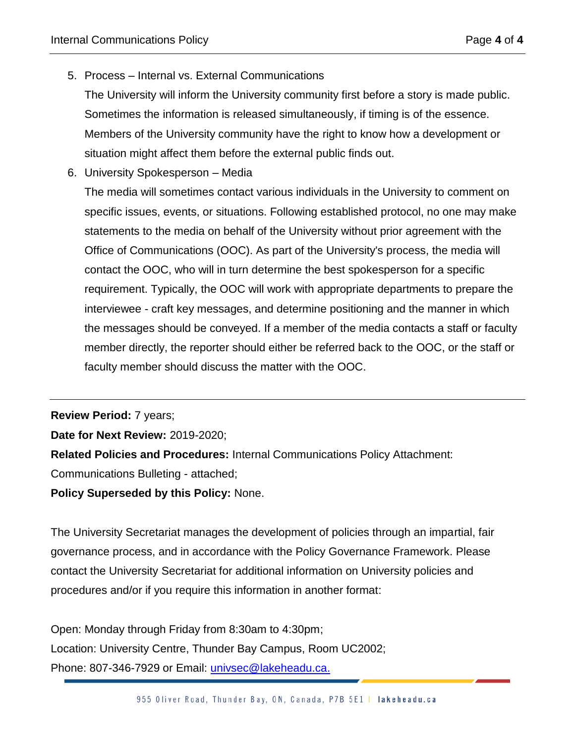5. Process – Internal vs. External Communications

The University will inform the University community first before a story is made public. Sometimes the information is released simultaneously, if timing is of the essence. Members of the University community have the right to know how a development or situation might affect them before the external public finds out.

6. University Spokesperson – Media

The media will sometimes contact various individuals in the University to comment on specific issues, events, or situations. Following established protocol, no one may make statements to the media on behalf of the University without prior agreement with the Office of Communications (OOC). As part of the University's process, the media will contact the OOC, who will in turn determine the best spokesperson for a specific requirement. Typically, the OOC will work with appropriate departments to prepare the interviewee - craft key messages, and determine positioning and the manner in which the messages should be conveyed. If a member of the media contacts a staff or faculty member directly, the reporter should either be referred back to the OOC, or the staff or faculty member should discuss the matter with the OOC.

**Review Period:** 7 years;

**Date for Next Review:** 2019-2020;

**Related Policies and Procedures:** Internal Communications Policy Attachment:

Communications Bulleting - attached;

**Policy Superseded by this Policy:** None.

The University Secretariat manages the development of policies through an impartial, fair governance process, and in accordance with the Policy Governance Framework. Please contact the University Secretariat for additional information on University policies and procedures and/or if you require this information in another format:

Open: Monday through Friday from 8:30am to 4:30pm; Location: University Centre, Thunder Bay Campus, Room UC2002; Phone: 807-346-7929 or Email: [univsec@lakeheadu.ca.](mailto:univsec@lakeheadu.ca)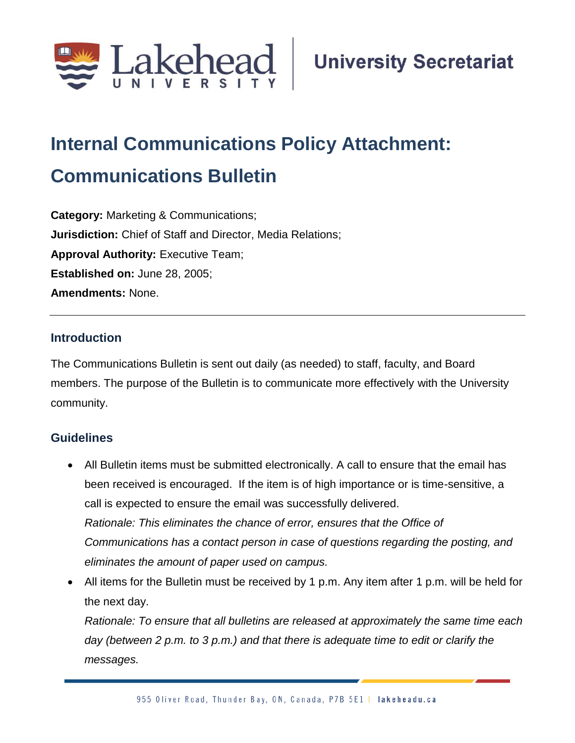

# **Internal Communications Policy Attachment:**

## **Communications Bulletin;**

**Category:** Marketing & Communications; **Jurisdiction:** Chief of Staff and Director, Media Relations; **Approval Authority:** Executive Team; **Established on:** June 28, 2005; **Amendments:** None.

#### **Introduction**

The Communications Bulletin is sent out daily (as needed) to staff, faculty, and Board members. The purpose of the Bulletin is to communicate more effectively with the University community.

#### **Guidelines**

- All Bulletin items must be submitted electronically. A call to ensure that the email has been received is encouraged. If the item is of high importance or is time-sensitive, a call is expected to ensure the email was successfully delivered. *Rationale: This eliminates the chance of error, ensures that the Office of Communications has a contact person in case of questions regarding the posting, and eliminates the amount of paper used on campus.*
- All items for the Bulletin must be received by 1 p.m. Any item after 1 p.m. will be held for the next day.

*Rationale: To ensure that all bulletins are released at approximately the same time each day (between 2 p.m. to 3 p.m.) and that there is adequate time to edit or clarify the messages.*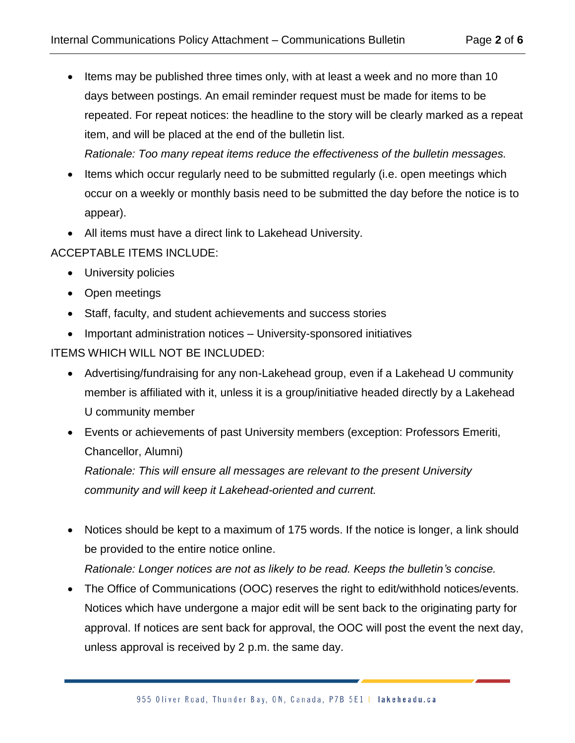• Items may be published three times only, with at least a week and no more than 10 days between postings. An email reminder request must be made for items to be repeated. For repeat notices: the headline to the story will be clearly marked as a repeat item, and will be placed at the end of the bulletin list.

*Rationale: Too many repeat items reduce the effectiveness of the bulletin messages.*

- Items which occur regularly need to be submitted regularly (i.e. open meetings which occur on a weekly or monthly basis need to be submitted the day before the notice is to appear).
- All items must have a direct link to Lakehead University.

#### ACCEPTABLE ITEMS INCLUDE:

- University policies
- Open meetings
- Staff, faculty, and student achievements and success stories
- Important administration notices University-sponsored initiatives

#### ITEMS WHICH WILL NOT BE INCLUDED:

- Advertising/fundraising for any non-Lakehead group, even if a Lakehead U community member is affiliated with it, unless it is a group/initiative headed directly by a Lakehead U community member
- Events or achievements of past University members (exception: Professors Emeriti, Chancellor, Alumni)

*Rationale: This will ensure all messages are relevant to the present University community and will keep it Lakehead-oriented and current.*

- Notices should be kept to a maximum of 175 words. If the notice is longer, a link should be provided to the entire notice online. *Rationale: Longer notices are not as likely to be read. Keeps the bulletin's concise.*
- The Office of Communications (OOC) reserves the right to edit/withhold notices/events. Notices which have undergone a major edit will be sent back to the originating party for approval. If notices are sent back for approval, the OOC will post the event the next day, unless approval is received by 2 p.m. the same day.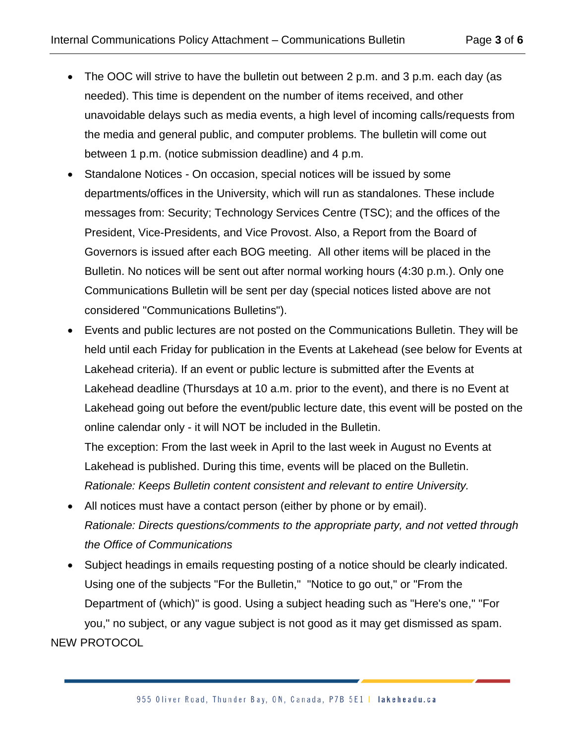- The OOC will strive to have the bulletin out between 2 p.m. and 3 p.m. each day (as needed). This time is dependent on the number of items received, and other unavoidable delays such as media events, a high level of incoming calls/requests from the media and general public, and computer problems. The bulletin will come out between 1 p.m. (notice submission deadline) and 4 p.m.
- Standalone Notices On occasion, special notices will be issued by some departments/offices in the University, which will run as standalones. These include messages from: Security; Technology Services Centre (TSC); and the offices of the President, Vice-Presidents, and Vice Provost. Also, a Report from the Board of Governors is issued after each BOG meeting. All other items will be placed in the Bulletin. No notices will be sent out after normal working hours (4:30 p.m.). Only one Communications Bulletin will be sent per day (special notices listed above are not considered "Communications Bulletins").
- Events and public lectures are not posted on the Communications Bulletin. They will be held until each Friday for publication in the Events at Lakehead (see below for Events at Lakehead criteria). If an event or public lecture is submitted after the Events at Lakehead deadline (Thursdays at 10 a.m. prior to the event), and there is no Event at Lakehead going out before the event/public lecture date, this event will be posted on the online calendar only - it will NOT be included in the Bulletin.

The exception: From the last week in April to the last week in August no Events at Lakehead is published. During this time, events will be placed on the Bulletin. *Rationale: Keeps Bulletin content consistent and relevant to entire University.*

- All notices must have a contact person (either by phone or by email). *Rationale: Directs questions/comments to the appropriate party, and not vetted through the Office of Communications*
- Subject headings in emails requesting posting of a notice should be clearly indicated. Using one of the subjects "For the Bulletin," "Notice to go out," or "From the Department of (which)" is good. Using a subject heading such as "Here's one," "For you," no subject, or any vague subject is not good as it may get dismissed as spam.

NEW PROTOCOL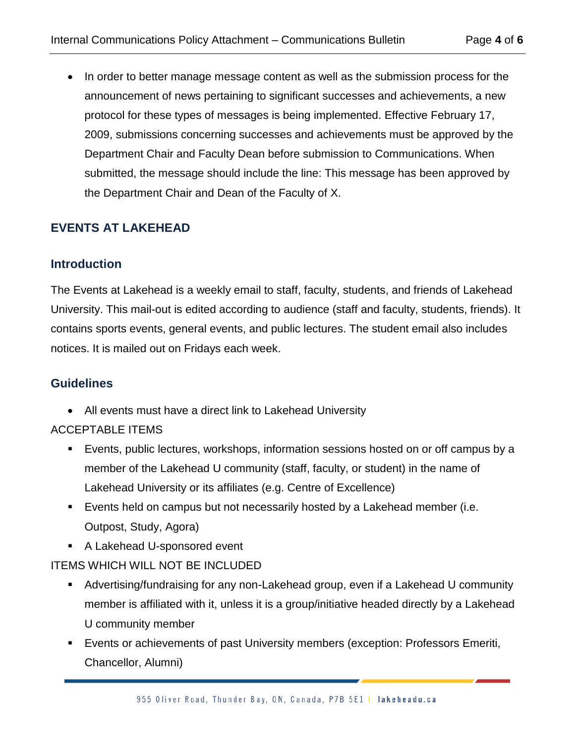• In order to better manage message content as well as the submission process for the announcement of news pertaining to significant successes and achievements, a new protocol for these types of messages is being implemented. Effective February 17, 2009, submissions concerning successes and achievements must be approved by the Department Chair and Faculty Dean before submission to Communications. When submitted, the message should include the line: This message has been approved by the Department Chair and Dean of the Faculty of X.

### **EVENTS AT LAKEHEAD**

#### **Introduction**

The Events at Lakehead is a weekly email to staff, faculty, students, and friends of Lakehead University. This mail-out is edited according to audience (staff and faculty, students, friends). It contains sports events, general events, and public lectures. The student email also includes notices. It is mailed out on Fridays each week.

#### **Guidelines**

• All events must have a direct link to Lakehead University

#### ACCEPTABLE ITEMS

- Events, public lectures, workshops, information sessions hosted on or off campus by a member of the Lakehead U community (staff, faculty, or student) in the name of Lakehead University or its affiliates (e.g. Centre of Excellence)
- Events held on campus but not necessarily hosted by a Lakehead member (i.e. Outpost, Study, Agora)
- A Lakehead U-sponsored event

#### ITEMS WHICH WILL NOT BE INCLUDED

- Advertising/fundraising for any non-Lakehead group, even if a Lakehead U community member is affiliated with it, unless it is a group/initiative headed directly by a Lakehead U community member
- Events or achievements of past University members (exception: Professors Emeriti, Chancellor, Alumni)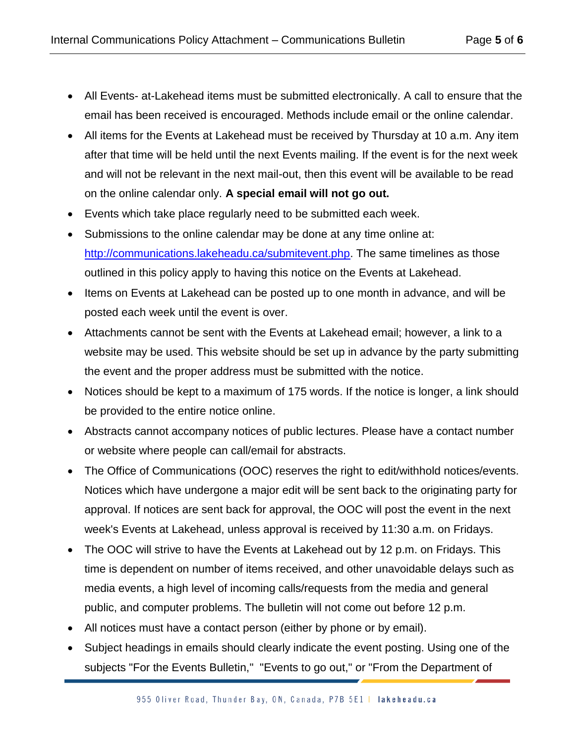- All Events- at-Lakehead items must be submitted electronically. A call to ensure that the email has been received is encouraged. Methods include email or the online calendar.
- All items for the Events at Lakehead must be received by Thursday at 10 a.m. Any item after that time will be held until the next Events mailing. If the event is for the next week and will not be relevant in the next mail-out, then this event will be available to be read on the online calendar only. **A special email will not go out.**
- Events which take place regularly need to be submitted each week.
- Submissions to the online calendar may be done at any time online at: [http://communications.lakeheadu.ca/submitevent.php.](http://communications.lakeheadu.ca/submitevent.php) The same timelines as those outlined in this policy apply to having this notice on the Events at Lakehead.
- Items on Events at Lakehead can be posted up to one month in advance, and will be posted each week until the event is over.
- Attachments cannot be sent with the Events at Lakehead email; however, a link to a website may be used. This website should be set up in advance by the party submitting the event and the proper address must be submitted with the notice.
- Notices should be kept to a maximum of 175 words. If the notice is longer, a link should be provided to the entire notice online.
- Abstracts cannot accompany notices of public lectures. Please have a contact number or website where people can call/email for abstracts.
- The Office of Communications (OOC) reserves the right to edit/withhold notices/events. Notices which have undergone a major edit will be sent back to the originating party for approval. If notices are sent back for approval, the OOC will post the event in the next week's Events at Lakehead, unless approval is received by 11:30 a.m. on Fridays.
- The OOC will strive to have the Events at Lakehead out by 12 p.m. on Fridays. This time is dependent on number of items received, and other unavoidable delays such as media events, a high level of incoming calls/requests from the media and general public, and computer problems. The bulletin will not come out before 12 p.m.
- All notices must have a contact person (either by phone or by email).
- Subject headings in emails should clearly indicate the event posting. Using one of the subjects "For the Events Bulletin," "Events to go out," or "From the Department of